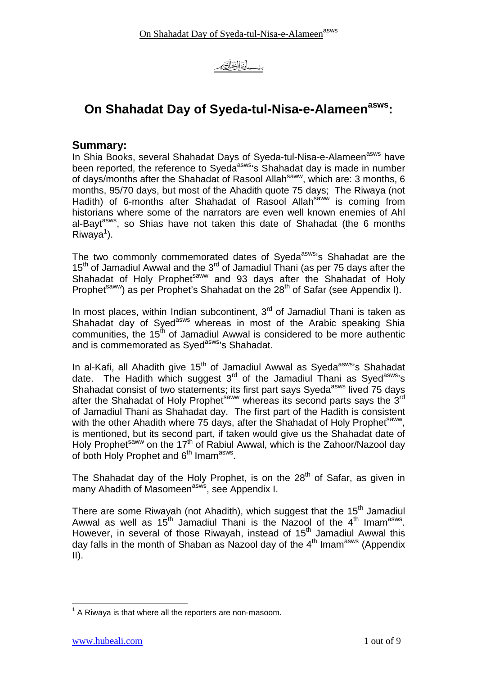<u>بينب أنَّذَالْخَوَالِ</u>

# **On Shahadat Day of Syeda-tul-Nisa-e-Alameenasws:**

#### **Summary:**

In Shia Books, several Shahadat Days of Syeda-tul-Nisa-e-Alameen<sup>asws</sup> have been reported, the reference to Syeda<sup>asws</sup>'s Shahadat day is made in number of days/months after the Shahadat of Rasool Allah<sup>saww</sup>, which are: 3 months, 6 months, 95/70 days, but most of the Ahadith quote 75 days; The Riwaya (not Hadith) of 6-months after Shahadat of Rasool Allahsaww is coming from historians where some of the narrators are even well known enemies of Ahl al-Bayt<sup>asws</sup>, so Shias have not taken this date of Shahadat (the 6 months  $Riwaya<sup>1</sup>$ ).

The two commonly commemorated dates of Syeda<sup>asws</sup>'s Shahadat are the 15<sup>th</sup> of Jamadiul Awwal and the  $3^{rd}$  of Jamadiul Thani (as per 75 days after the Shahadat of Holy Prophetsaww and 93 days after the Shahadat of Holy Prophet<sup>saww</sup>) as per Prophet's Shahadat on the 28<sup>th</sup> of Safar (see Appendix I).

In most places, within Indian subcontinent,  $3<sup>rd</sup>$  of Jamadiul Thani is taken as Shahadat day of Syed<sup>asws</sup> whereas in most of the Arabic speaking Shia communities, the  $15<sup>th</sup>$  of Jamadiul Awwal is considered to be more authentic and is commemorated as Syed<sup>asws</sup>'s Shahadat.

In al-Kafi, all Ahadith give 15<sup>th</sup> of Jamadiul Awwal as Syeda<sup>asws</sup>'s Shahadat date. The Hadith which suggest 3<sup>rd</sup> of the Jamadiul Thani as Syed<sup>asws</sup>'s Shahadat consist of two statements; its first part says Syeda<sup>asws</sup> lived 75 days after the Shahadat of Holy Prophet<sup>saww</sup> whereas its second parts says the  $3<sup>rd</sup>$ of Jamadiul Thani as Shahadat day. The first part of the Hadith is consistent with the other Ahadith where 75 days, after the Shahadat of Holy Prophet<sup>saww</sup>, is mentioned, but its second part, if taken would give us the Shahadat date of Holy Prophet<sup>saww</sup> on the 17<sup>th</sup> of Rabiul Awwal, which is the Zahoor/Nazool day of both Holy Prophet and 6<sup>th</sup> Imam<sup>asws</sup>.

The Shahadat day of the Holy Prophet, is on the  $28<sup>th</sup>$  of Safar, as given in many Ahadith of Masomeen<sup>asws</sup>, see Appendix I.

There are some Riwayah (not Ahadith), which suggest that the  $15<sup>th</sup>$  Jamadiul Awwal as well as  $15<sup>th</sup>$  Jamadiul Thani is the Nazool of the  $4<sup>th</sup>$  Imam<sup>asws</sup>. However, in several of those Riwayah, instead of  $15<sup>th</sup>$  Jamadiul Awwal this day falls in the month of Shaban as Nazool day of the  $4<sup>th</sup>$  Imam<sup>asws</sup> (Appendix  $II$ ).

 $\overline{\phantom{a}}$  $1$  A Riwaya is that where all the reporters are non-masoom.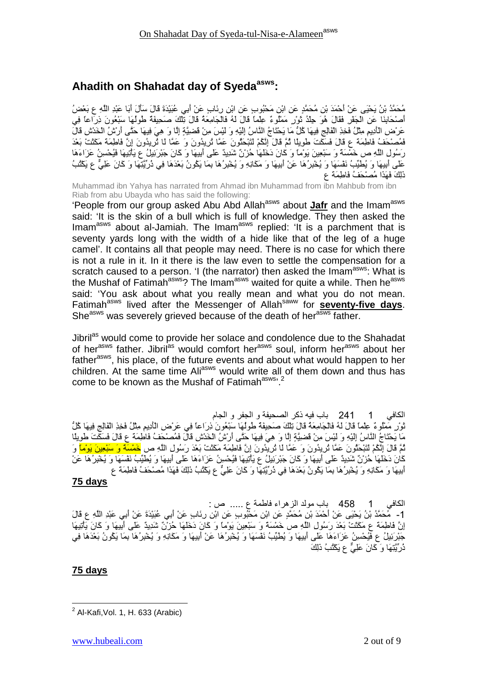# **Ahadith on Shahadat day of Syedaasws:**

مُحَمَّدُ بْنُ يَحْيَى عَنْ أَحْمَدَ بْنِ مُحَمَّدٍ عَنِ ابْنِ مَحْبُوبٍ عَنِ ابْنِ رِئَابٍ عَنْ أَبِي عُبَيْدَةَ قَالَ سَأَلَ أَبَا عَبْدِ اللَّهِ عِ بَعْضُ أَصْحَابِنَا عَنِ الْجَفْرِ فَقَالَ هُوَ جِلْدُ تَوْرِ مَمْلُوءٌ عِلْمًا قَالَ لَهُ فَالْجَامِعَةُ قَالَ تِلْكَ صَحِيفَةٌ طُولُهَا سَبْعُونَ ذِرَاعًا فِي عَرْضِ الْأَدِيمِ مِثْلُ فَخِذِ الْفَالِجِ فِيهَا كُلَّ مَا يَحْتَاجُ النَّاسُ إِلَيْهِ وَ لَيْسَ مِنْ قَضِيَّةٍ إِلَّا وَ هِيَ فِيهَا حَتَّى أَرْشُ الْخَدْشِ قَالَ فَمُصْحَفُ فَاطِمَةٌ ع قَالَ فَسَكَتَ طَوِيلًا ثُمَّ قَالَ إِنَّكُمْ لَتَبْحَثُونَ عَمَّا لُرِيدُونَ وَ عَمَّا لَا ثُرِيدُونَ إِنَّ فَاطِمَةً مَكَثَتْ بَعْدَ رَسُولِ اللَّهِ ص خَمْسَةً وَ سَبْعِينَ يَوْمًا وَ كَانَ دَخَلَهَا حُزْنٌ شَدِيدٌ عَلَى أَبِيهَا وَ كَانَ جَبْرَئِيلُ عِ يَأْتِيهَا فَيُحْسِنُ عَزَاءَهَا عَلَى أُبِيهَا وَ يُطْنِّبُ نَفْسَهَا وَ يُخْبِرُهَا عَنْ أَبِيهَا وَ مَكَانِهِ وَ يُخْبِرُهَا بِمَا يَكُونُ بَعْدَهَا فِي دُرِّيَّتِهَا وَ كَانَ عَلِيٌّ عِ يَكْتُبُ ذَلِكَ فَهَذَا مُصنْحَفُ فَاطِمَة ع

Muhammad ibn Yahya has narrated from Ahmad ibn Muhammad from ibn Mahbub from ibn Riab from abu Ubayda who has said the following:

'People from our group asked Abu Abd Allah<sup>asws</sup> about Jafr and the Imam<sup>asws</sup> said: 'It is the skin of a bull which is full of knowledge. They then asked the Imam<sup>asws</sup> about al-Jamiah. The Imam<sup>asws</sup> replied: 'It is a parchment that is seventy yards long with the width of a hide like that of the leg of a huge camel'. It contains all that people may need. There is no case for which there is not a rule in it. In it there is the law even to settle the compensation for a scratch caused to a person. 'I (the narrator) then asked the Imam<sup>asws</sup>: What is the Mushaf of Fatimah<sup>asws</sup>? The Imam<sup>asws</sup> waited for quite a while. Then he<sup>asws</sup> said: 'You ask about what you really mean and what you do not mean. Fatimah<sup>asws</sup> lived after the Messenger of Allah<sup>saww</sup> for **seventy-five days**. She<sup>asws</sup> was severely grieved because of the death of her<sup>asws</sup> father.

Jibril<sup>as</sup> would come to provide her solace and condolence due to the Shahadat of her<sup>asws</sup> father. Jibril<sup>as</sup> would comfort her<sup>asws</sup> soul, inform her<sup>asws</sup> about her father<sup>asws</sup>, his place, of the future events and about what would happen to her children. At the same time Ali<sup>asws</sup> would write all of them down and thus has come to be known as the Mushaf of Fatimah<sup>asws, 2</sup>

الكافي 1 241 باب فيه ذكر الصحيفة و الجفر و الجام نُّوْرٍ مَمْلُوءٌ عِلْمًا قَالَ لَهُ فَالْجَامِعَةُ قَالَ تِلْكَ صَحِيفَةٌ طُولُهَا سَبْعُونَ ذِرَاعًا فِي عَرْضِ الْأَدِيمِ مِثْلُ فَخِذِ الْفَالِجِ فِيهَا كُلَّ مَا يَحْتَاجُ النَّاسُ إِلَيْهِ وَ لَيْسَ مِنْ قَضيَّةٍ إِلَّا وَ هِيَ فِيهَا حَتَّى أَرْشُ الْخَدْشِ قَالَ فَمُصنْحَفُ فَاطِمَة ع قَالَ فَسَكَتَ طويلًا ثُمَّ قَالَ إِنَّكُمْ لَنَبْحَثُونَ عَمَّا ثَرِيدُونَ وَ عَمَّا لَمَا ثَرِيدُونَ إِنَّ فَاطِمَةً مَكَثَتْ بَعْدَ رَسُولِ اللَّهِ ص <mark>خَمْسَةً وَ سَبْعِينَ يَوْمًا</mark> وَ كَانَ دَخَلْهَا حُزْنٌ شَدِيدٌ عَلَى أُبِيهَا وَ كَانَ جَبْرَئِيلُ عِ يَأْتِيهَا فَيُحْسِنُ عَزَاءَهَا عَلَى أُبِيهَا وَ يُطْيِّبُ نَفْسَهَا وَ يُحْبِرُهُا عَنْ أَبِيهَا وَ مَكَانِهِ وَ يُخْبِرُهَا بِمَا يَكُونُ بَعْدَهَا فِي ذُرُّيَّتِهَا وَ كَانَ عَلِيٌّ ع يَكْتُبُ ذَٰلِكَ فَهَذَا مُصنْحَفُ فَاطِمَة ع

#### **75 days**

الكافي 1 458 باب مولد الزهراء فاطمة ع ..... ص : 1- مُحَمَّدُ بْنُ يَحْيَى عَنْ أَحْمَدَ بْنِ مُحَمَّدٍ عَنِ ابْنِ مَحْبُوبٍ عَنِ ابْنِ رِئَابٍ عَنْ أَبِي عُبَيْدَةَ عَنْ أَبِي عَبْدِ اللَّهِ ع قَالَ إِنَّ فَاطِمَة ع مَكَثَتْ بَعْدَ رَسُول اللَّهِ ص خَمْسَةً وَ سَبْعِينَ يَوْمًا وَ كَانَ دَخَلَهَا حُرْنٌ شَدِيدٌ عَلَى أَبِيهَا وَ كَانَ يَأْتِيهَا جَبْرَئِيلُ ع فَيُحْسِنُ عَزَاءَهَا عَلَى أَبِيهَا وَ يُطَيِّبُ نَفْسَهَا وَ يُخْبِرُهَا عَنْ أَبِيهَا وَ مَكَانِهِ وَ يُخْبِرُهَا بِمَا يَكُونُ بَعْدَهَا فِي دُر ِّيَّتِهَا وَ كَانَ عَلِيٌّ عِ يَكْتُبُ ذَٰلِكَ

#### **75 days**

 $\overline{\phantom{a}}$ 

 $<sup>2</sup>$  Al-Kafi, Vol. 1, H. 633 (Arabic)</sup>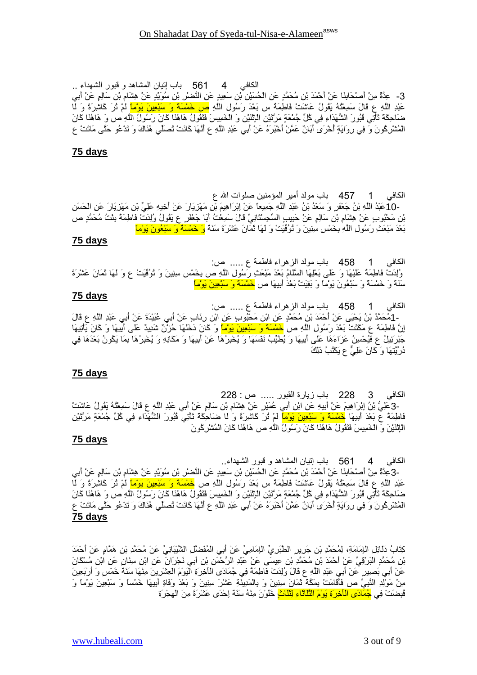كِتَابُ دَلَائِلِ الْإِمَامَةِ، لِمُحَمَّدِ بْنِ جَرِيرِ الطَّبَرِيِّ الْإِمَامِيِّ عَنْ أَبِي الْمُفَضَّلِ الشَّيْبَانِيِّ عَنْ مُحَمَّدِ بْنِ هَمَّامٍ عَنْ أَحْمَدَ بْنِ مُحَمَّدٍ الْبَرْقِيِّ عَنْ أَحْمَدَ بْنِ مُحَمَّدِ بْنِ عِيسَى عَنْ عَبْدِ الرَّحْمَنِ بْنِ أَبِي نَجْرَانَ عَنِ ابْنِ سِنَانِ عَنِ ابْنِ مُسْكَانَ عَنْ أَبِي بَصِيرٍ عَنْ أَبِي عَبْدِ اللَّهِ ع قَالَ وُلِدَتْ فَاطِمَةٌ فِي جُمَادَى الْأَخِرَةِ الْيَوْمَ الْعِشْرِينَ مِنْهَا سَنَةً خَمْسٍ وَ أَرْبَعِينَ مِنْ مَوْلِدِ النَّبِيِّ ص فَأَقَامَتْ بِمَكَّة ثَمَانَ سِنِينَ وَ بِالْمَدِينَةِ عَشْرَ سِنِينَ وَ بَعْدَ وَفَاةِ أَبِيهَا خَمْساً وَ سَبْعِينَ يَوْماً وَ ثُبِضَتْ فِي <mark>جُمَادَى الْأَخِرَةِ يَوْمَ الثَّلَاتَاءِ لِتَّلَّاثٍ</mark> خَلُوْنَ مِنْهُ سَنَةً إِحْدَى عَشْرَةَ مِنَ الْهِجْرَةِ

الكافي 4 561 باب إنيان المشاهد و قبور الشهداء.. -3عِدَّةٌ مِنْ أَصْحَابِنَا عَنْ أَحْمَدَ بْنِ مُحَمَّدٍ عَنِ الْحُسَيْنِ بْنِ سَعِيدٍ عَنِ النَّصْرِ بْنِ سُوَيْدٍ عَنْ هِشَامِ بْنِ سَالِمٍ عَنْ أَبِي عَبْدِ اللَّهِ ع قَالَ سَمِعْنُهُ يَقُولُ عَاشَتْ فَاطِمَةٌ س بَعْدَ رَسُولِ اللَّهِ ص <mark>خَمْسَةً وَ سَبْعِينَ يَوْماً</mark> لَمْ نُرَ كَاشِرَةً وَ لَمَا ضَاحِكَةً تَأْتِي ثُبُورَ الشَّهَدَاءِ فِي كُلِّ جُمْعَةٍ مَرَّتَيْنِ الْإِنْنَيْنِ وَ الْخَمِيسَ فَتَقُولُ هَاهُنَا كَانَ رَسُولُ اللَّهِ ص وَ هَاهُنَا كَانَ الْمُشْرِكُونَ وَ فِي رِوَايَةٍ أُخْرَى أَبَانٌ عَمَّنْ أَخْبَرَهُ عَنْ أَبِي عَبْدِ اللَّهِ عِ أَنَّهَا كَانَتْ تُصَلِّي هُذَاكَ وَ تَدْعُو حَتَّى مَاتَتْ ع **75 days**

الكافي 3 228 باب زيارة القبور ..... ص : 228 -3عَلِيُّ بْنُ إِبْرَاهِيمَ عَنْ أَبِيهِ عَنِ ابْنِ أَبِي عُمَيْرٍ عَنْ هِثْمَامِ بْنِ سَالِمٍ عَنْ أَبِي عَبْدِ اللَّهِ ع قَالَ سَمِعْتُهُ يَقُولُ عَاشَتْ فَاطِمَةٌ ع بَعْدَ أَبِيهَا <mark>خَمْسَةً وَ سَبْعِينَ يَوْماً</mark> لَمْ نُرَ كَاشِرَةً وَ لَمَا ضَاحِكَةً نَأْتِي فُبُورَ الشَّهَدَاءِ فِي كُلِّ جُمْعَةٍ مَرَّتَيْنِ الْإِنْنَيْنَ وَ الْخَمِيسَ فَتَقُولُ هَاهُنَا كَانَ رَسُولُ اللَّهِ ص هَاهُنَا كَانَ الْمُشْرِكُونَ **75 days**

**75 days** الكافي 1 458 باب مولد الزهراء فاطمة ع ..... ص: -1مُحَمَّدُ بْنُ يَحْيَى عَنْ أَحْمَدَ بْنِ مُحَمَّدٍ عَنِ ابْنِ مَحْبُوبٍ عَنِ ابْنِ رِئَابٍ عَنْ أَبِي عُبَيْدَةَ عَنْ أَبِي عَبْدِ اللَّهِ ع قَالَ إِنَّ فَاطِمَةً ع مَكَثَتْ بَعْدَ رَسُول اللَّهِ ص <mark>خَمْسَةً وَ سَبْعِينَ يَوْمًا</mark> وَ كَانَ دَخَلَهَا حُرْنٌ شَدِيدٌ عَلَى أَبِيهَا وَ كَانَ يَأْتِيهَا جَبْرَئِيلُ ع فَيُحْسِنُ عَزَاءَهَا عَلَى أَبِيهَا وَ يُطَيِّبُ نَفْسَهَا وَ يُخْبِرُهَا عَنْ أَبِيهَا وَ مَكَانِهِ وَ يُخْبِرُهَا بِمَا يَكُونُ بَعْدَهَا فِي دُر ِّيَّتِهَا وَ ۖ كَانَ عَلِيٌّ عِ يَكْتُبُ ذَٰلِكَ

وُلِدَتْ فَاطِمَةً عَلَيْهَا وَ عَلَى بَعْلِهَا السُّلَامُ بَعْدَ مَبْعَثِ رَسُولِ اللَّهِ ص بِخَمْسِ سِنِينَ وَ نُوُفَّيَتْ ع وَ لَـهَا ئَمَانَ عَشْرَةَ

## **75 days**

**75 days**

الكافي 1 157 باب مولد أمير المؤمنين صلوات الله ع -10عَبْدُ اللَّهِ بْنُ جَعْفَرٍ وَ سَعْدُ بْنُ عَبْدِ اللَّهِ جَمِيعًا عَنْ إِبْرَاهِيمَ بْنِ مَهْزِيَارَ عَنْ أُخِيهِ عَلِيٍّ بْنِ مَهْزِيَارَ عَنِ الْحَسَنِ بْنِ مَحْبُوبٍ عَنْ هِشَامٍ بْنِ سَالِمٍ عَنْ حَبِيبٍ السِّجِسْتَانِيِّ قَالَ سَمِعْتُ أَبَا جَعْفَرٍ عِ يَقُولُ وُلِدَتْ فَاطِمَةُ بِنْتُ مُحَمَّدٍ ص بَعْدَ مَبْعَثِ رَسُولِ اللَّهِ بِخَمْسِ سِنِينَ وَ تُوُفِّيَتْ وَ لَهَا ثَمَانَ عَشْرَةَ سَنَةً <mark>وَ خَمْسَةٌ وَ سَبْعُونَ يَوْماً</mark>

الكافي 1 458 باب مولد الزهراء فاطمة ع ..... ص:

سَنَةً وَ خَمْسَةٌ وَ سَبْعُونَ يَوْماً وَ بَقِيَتْ بَعْدَ أَبِيهَا ص <mark>خَمْسَةً وَ سَبْعِينَ يَوْماً</mark>

#### **75 days**

الكافي 4 561 باب إنيان المشاهد و قبور الشهداء <sub>..</sub> 3- حِدَّةٌ مِنْ أَصْحَابِذَا عَنْ أَحْمَدَ بْنِ مُحَمَّدٍ عَنِ الْحُسَيْنِ بْنِ سَعِيدٍ عَنِ النَّصْرِ بْنِ سُوَيْدٍ عَنْ هِشَامِ بْنِ سَالِمٍ عَنْ أَبِي عَبْدِ اللَّهِ ع قَالَ سَمِعْتُهُ يَقُولُ عَاشَتْ فَاطِمَةٌ س بَعْدَ رَسُولِ اللَّهِ <mark>ص خَمْسَةً وَ سَبْعِينَ يَوْمًا</mark> لَمْ ثَرَ كَاشِرَةً وَ لَما ضَاحِكَة تَأْتِي ڤُبُورَ الشُّهَدَاءِ فِي كُلِّ جُمْعَةٍ مَرَّتَيْنِ الْإِنْنَيْنِ وَ الْخَمِيسَ فَتَقُولُ هَاهُنَا كَانَ رَسُولُ اللَّهِ ص وَ هَاهُنَا كَانَ الْمُشْرِكُونَ وَ فِي رِوَايَةٍ أُخْرَى أَبَانٌ عَمَّنْ أَخْبَرَهُ عَنْ أَبِي عَبْدِ اللَّهِ عَ أَنَّهَا كَانَتْ نُصَلِّي هُذَاكَ وَ تَدْعُو حَتَّى مَاتَتْ ع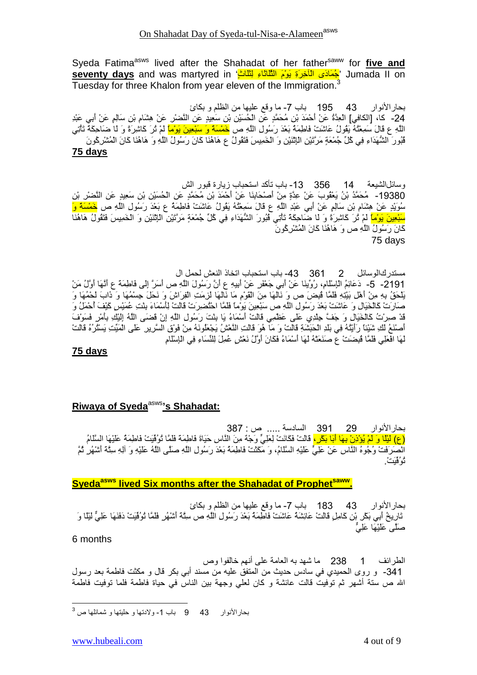Syeda Fatima<sup>asws</sup> lived after the Shahadat of her father<sup>saww</sup> for five and umada II on 'جُمَادَى الْآخِرَةِ بَوْمَ الْثَّلَاثَاءِ لِتَلْكٍ' seventy days and was martyred in Tuesday for three Khalon from year eleven of the Immigration.<sup>3</sup>

بحار الأنوار 43 195 باب 7- ما وقع عليها من الظلم و بكائ 24- كا، [الكافي] الْعِدَّةُ عَنْ أَحْمَدَ بْنِ مُحَمَّدٍ عَنِ الْحُسَيْنِ بْنِ سَعِيدٍ عَنِ النَّصْرِ عَنْ هِشَامِ بْنِ سَالِمٍ عَنْ أَبِي عَبْدِ الْمُهِ ع قَالَ سَمِعْنُهُ يَقُولُ عَاشَتْ فَاطِمَةٌ بَعْدَ رَسُولِ اللَّهِ ص <mark>خَمْسَةً وَ سَبْعِينَ يَوْمًا</mark> لَمْ نُزَ كَاشِرَةً وَ لَمْ حَاحِكَةً تَأْتِي فَبُورَ الشَّهَدَاءِ فِي كُلِّ جُمْعَةٍ مَرَّتَيْنِ الْإِثْنَيْنِ وَ الْخَمِيسَ فَتَقُولُ عِ هَاهُنَا كَانَ رَسُولُ اللَّهِ وَ هَاهُنَا كَانَ الْمُشْرِكُونَ **75 days**

وسائلالشيعة 14 356 13- باب تأكد استحباب زيارة قبور الش 19380- مُحَمَّدُ بْنُ يَعْقُوبَ عَنْ عِدَّةٍ مِنْ أَصْحَابِذَا عَنْ أَحْمَدَ بْنِ مُحَمَّدٍ عَنِ الْحُسَيْنِ بْنِ سَعِيدٍ عَنِ النَّصْرِ بْنِ سُوَيْدٍ عَنْ هِشَامٍ بْنِ سَالِمٍ عَنْ أَبِي عَبْدِ اللَّهِ ع قَالَ سَمِعْتُهُ يَقُولُ عَاشَتْ فَاطِمَةٌ ع بَعْدَ رَسُولِ اللَّهِ ص <mark>خَمْسَةٌ وَ</mark> <mark>سَبْعِينَ بَوْماً</mark> لَمْ تُرَ كَاشِرَةً وَ لَا ضَاحِكَةً تَأْتِي فُبُورَ الشُّهَدَاءِ فِي كُلِّ جُمْعَةٍ مَرَّتَيْنِ الْإِنْنَيْنِ وَ الْخَمِيسَ فَتَقُولُ هَاهُنَا ِّكَانَ رَ سُولُ اللَّهِ ص وَ ۖ هَاهُنَا كَانَ الْمُشْرِكُو نَ 75 days

مستدر كالوسائل 2 861 43- باب استحباب اتخاذ النعش لحمل ال 2191- 5- دَعَائِمُ الْإِسْلَامِ، رُوِّينَا عَنْ أَبِي جَعْفَرٍ عَنْ أَبِيهِ عِ أَنَّ رَسُولَ اللَّهِ ص أَسَرَّ إِلَى فَاطِمَةٌ عِ أَنَّهَا أَوَّلُ مَنْ يَلْحَقُ بِهِ مِنْ أَهْلِ بَيْتِهِ فَلَمَّا فُبِضَ ص وَ نَالُهَا مِنَ الْقَوْمِ مَا نَالُهَا لْزِمَتِ الْفِرَاشَ وَ نَحَلَ جِسْمُهَا وَ ذَابَ لَحْمُهَا وَ صَارَتْ كَالْخَيَالِ وَ عَاشَتْ بَعْدَ رَسُولِ اللَّهِ ص سَبْعِينَ يَوْمًا فَلَمَّا احْتُضرِرَتْ قَالَتْ لِأَسْمَاءَ بِنْتِ عُمَيْسٍ كَيْفَ أَحْمَلُ وَ قَدْ صَوْتُ كَالْخَيَالِ وَ جَفَّ حِلْدِي عَلَى عَظْمِي قَالَتْ أَسْمَاءُ يَا بِنْتَ رَسُولِ اللَّهِ إِنْ قَضَى اللَّهُ إِلَيْكِ بِأَمْرٍ فَسَوْفَ أَصْنَعُ لَكِ شَيْئًا رَأَيْتُهُ فِي بَلْدِ الْحَبَشَةِ قَالَتْ وَ مَا هُوَ قَالَتِ النَّعْشُ يَجْعَلُونَهُ مِنْ فَوْقِ السَّرِيرِ عَلَى الْمَيِّتِ يَسْتُرُهُ قَالَتْ لَّهَا افْعَلِي فَلَمَّا ڤُبِضَتْ عَ صَنَعَتْهُ لَهَا أَسْمَاءُ فَكَانَ أَوَّلُ نَعْشٍ عُمِلَ لِلنِّسَاءِ فِي الْإِسْلَامِ

#### **75 days**

#### **Riwaya of Syeda<sup>asws</sup>'s Shahadat:**

بحار الأنوار 29 391 السادسة ..... ص : 387 (ع) لَيْلًا وَ لَمْ يُؤْذِنْ بِهَا أَبَا بَكْرٍ، قَالَتْ فَكَانَتْ لِعَلِّيٍّ وَجْهٌ مِنَ النَّاسِ حَيَاةَ فَاطِمَةً فَلَمَّا تُوُفِّيَتْ فَاطِمَةً عَلَيْهَا السَّلَامُ انْصَرَفَتْ وُجُوهُ النَّاسِ عَنْ عَلِيٍّ عَلَيْهِ السَّلَامُ، وَ مَكَثَتْ فَاطِمَةُ بَعْدَ رَسُولِ اللَّهِ صَلَّى اللَّهُ عَلَيْهِ وَ أَلِهِ سِتَّةَ أَشْهُرٍ ثُمَّ نُو فُنَتَ ُ

#### **Syedaasws lived Six months after the Shahadat of Prophetsaww .**

بحار الأنوار 43 183 باب 7- ما وقع عليها من الظلم و بكائ تَارِيخُ أَبِي بَكْرٍ بْنِ كَامِلٍ قَالَتْ عَائِشَةٌ عَاشَتْ فَاطِمَةٌ بَعْدَ رَسُولِ اللَّهِ ص سِنَّة أَشْهُرٍ فَلَمَّا تُوُفِّيَتْ دَفَنَهَا عَلِيٌّ لَيْلًا وَ صَلَّى عَلَيْهَا عَلِيٌّ

#### 6 months

الطرائف 1 238 ما شهد به العامة على أنهم خالفوا وص 341- و روى الحميدي في سادس حديث من المتفق عليه من مسند أبـي بكر قال و مكثت فاطمة بعد رسول الله ص ستة أشهر ثم توفيت قالت عائشة و كان لعلى وجهة بين الناس في حياة فاطمة فلما توفيت فاطمة

 $\overline{\phantom{a}}$  $^3$  بحار الأنوار  $\,$  43  $\,$ 9 باب 1- ولادتها و حليتها و شمائلها ص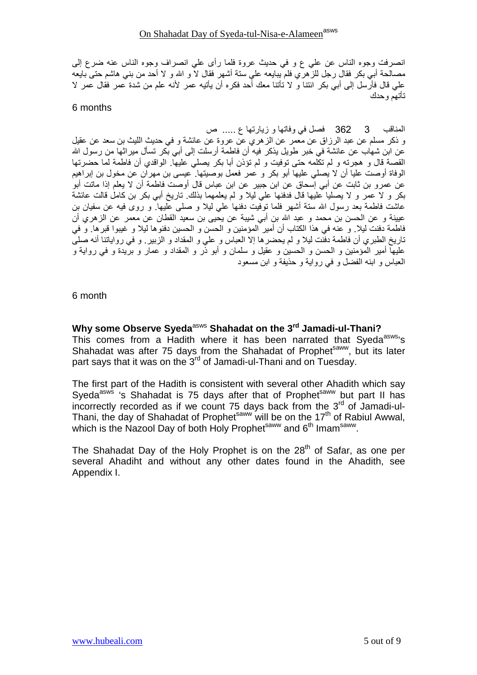انصرفت وجوه الناس عن على ع و في حديث عروة فلما رأى على انصراف وجوه الناس عنه ضرع إلى مصـالحـة أبـي بكر فقال رجل للز هري فلم يبـايعه علـي ستـة أشـهر فقال لا و الله و لا أحد من بنـي هاشم حتـي بـايعه على قال فأرَّسل إلى أبيِّ بكر الَّنتا و لا تأتنا معك أحد فكره أنَّ يأتيه عمر لأنه علم من شدة عمر فقال عمر لا تأتهم وحدك

#### 6 months

#### 

و ذكر مسلم عن عبد الرزاق عن معمر عن الزهري عن عروة عن عائشة و في حديث الليث بن سعد عن عقيل عن ابن شهاب عن عائشة في خبر طويل يذكر فيه أن فاطمة أرسلت إلى أبي بكر تسأل ميراثها من رسول الله القصبة قال و هجرته و لم تكلَّمه حتى توفيت و لم تؤذن أبا بكر يصلي عليها. الواقدي أن فاطمة لما حضر تها الوفاة أوصت عليا أن لا يصلِّي عليها أبو بكر و عمر فعمل بوصيتها ً عيسى بن مهر أن عن مخول بن إبر اهيم عن عمرو بن ثابت عن أبـي إسَّحاق عن ابن جبير عن ابن عباس قال أوصت فاطمة أن لا يعلم إذا ماتت أبو بكر و لا عمر و لا يصليا عليها قال فدفنها على ليلا و لم يعلمهما بذلك تاريخ أبي بكر بن كامل قالت عائشة عاشت فاطمة بعد رسول الله سنة أشهر فلما نوفيت دفنها على ليلا و صلى عليها. و روى فيه عن سفيان بن عيينة و عن الحسن بن محمد و عبد الله بن أبي شيبة عن يحيى بن سعيد القطان عن معمر عن الزهري أن فاطمة دفنت ليلا ٍ و عنه في هذا الكتاب أن أمير المؤمنين و الحسن و الحسين دفنوها ليلا و غيبوا قبرها. و في تاريخ الطبري أن فاطمة دفَّنت ليلا و لم يحضر ها إلا العباس و على و المقداد و الزبير . و في رواياتنا أنه صلَّى عليها أمير المؤمنين و الحسن و الحسين و عقيل و سلمان و أبو ذر و المقداد و عمار و بريدة و في رواية و العباس و ابنه الفضل و في رواية و حذيفة و ابن مسعود

#### 6 month

Why some Observe Syeda<sup>asws</sup> Shahadat on the 3<sup>rd</sup> Jamadi-ul-Thani? This comes from a Hadith where it has been narrated that Syeda<sup>asws</sup>'s Shahadat was after 75 days from the Shahadat of Prophet<sup>saww</sup>, but its later part says that it was on the 3<sup>rd</sup> of Jamadi-ul-Thani and on Tuesday.

The first part of the Hadith is consistent with several other Ahadith which say Syeda<sup>asws</sup> 's Shahadat is 75 days after that of Prophet<sup>saww</sup> but part II has incorrectly recorded as if we count 75 days back from the  $3<sup>rd</sup>$  of Jamadi-ul-Thani, the day of Shahadat of Prophet<sup>saww</sup> will be on the 17<sup>th</sup> of Rabiul Awwal,<br>which is the Nazool Day of both Holy Prophet<sup>saww</sup> and  $6<sup>th</sup>$  Imam<sup>saww</sup>.

The Shahadat Day of the Holy Prophet is on the 28<sup>th</sup> of Safar, as one per several Ahadiht and without any other dates found in the Ahadith, see Appendix I.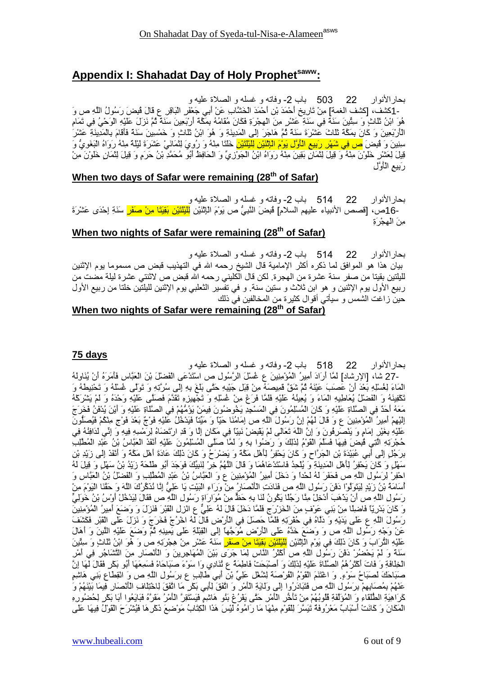# **Appendix I: Shahadat Day of Holy Prophetsaww:**

بحار الأنوار حار الأنوار 22 503 باب 2- وفاته و غسله و الصلاة عليه و -1كَشْف، [كَشْف الْغمة] مِنْ تَارِيخِ أَحْمَدَ بْنِ أَحْمَدَ الْخَشَّابِ عَنْ أَبِي جَعْفَرِ الْبَاقِر عِ قَالَ قُبِضَ رَسُولُ اللَّهِ ص وَ هُوَ ابْنُ ثَلْاثٍ وَ سِئْينَ سَنَةً فِي سَنَةٍ عَشْرٍ مِنَ الْهِجْرَةِ فَكَانَ مُقَامُهُ بِمَكَّةً أَرْبَعِينَ سَنَةً ثُمَّ نَزَلَ عَلَيْهِ الْوَحْيُ فِي تَمَامِ اْلْمَارْبَعِينَ وَ كَانَ بِمَكَّةَ ثَلَاثَ عَشْرَةَ سَنَةً ثُمَّ هَاجَرَ إِلَى الْمَدِينَةِ وَ هُوَ ابْنُ ثَلَاثٍ وَ خَمْسِينَ سَنَةً فَأَقَامَ بِالْمَدِينَةِ عَشْرَ سِنِينَ وَ قُبِضَ <mark>ص فِي شَهْرِ رَبِيعِ الْأَوَّلِ يَوْمَ الْإِنْنَيْنِ لِلَيْلَنَيْنِ</mark> خَلَتَا مِنْهُ وَ رُوِيَ لِنَّمَانَيْ عَشَرَةَ لَيْلِمَّهُ مِنْهُ رَوَاهُ الْبَغَوِيَّ وَ قِيلَ لِعَشْرِ خَلْوْنَ مِنْهُ وَ قِيلَ لِتَمَانٍ بَقِينَ مِنْهُ رَوَاهُ ابْنُ الْجَوْزِيِّ وَ الْحَافِظُ أَبُو مُحَمَّدِ بْنُ حَرَمٍ وَ قِيلَ لِتَمَانٍ خَلُوْنَ مِنْ رَبِيعِ الْأَوَّلِ

#### **When two days of Safar were remaining (28th of Safar)**

بحار الأنو ار حار الأنوار 22 514 باب 2- وفاته و غسله و الصلاة عليه و -16ص، [قصص الأنبياء عليهم السلام] فُبِضَ النَّبِيُّ ص يَوْمَ الْإِنْنَيْنِ لِ<mark>لَيْنَتَيْنِ بِقِيَتَا مِنْ صَفَرٍ</mark> سَنَةِ إِحْدَى عَشْرَةَ مِنَ الْهِجْرَةِ

#### **When two nights of Safar were remaining (28th of Safar)**

بحار الأنو ار حار الأنوار 22 514 باب 2- وفاته و غسله و الصلاة عليه و بيان هذا هو الموافق لما ذكره أكثر الإمامية قال الشيخ رحمه الله في التهذيب قبض ص مسموما يوم الإثنين لليلتين بقيتا من صفر سنة عشرة من المجرة. لكن قال الكليني رحمه الله قبض ص لاثنتي عشرة ليلة مضت من ربيع الأول يوم الإثنين و هو ابن ثلاث و ستين سنة. و في تفسير الثعلبي يوم الإثنين لليلتين خلتا من ربيع الأول حين ز اغت الشمس و سيأتي أقوال كثيرة من المخالفين في ذلك

## **When two nights of Safar were remaining (28th of Safar)**

#### **75 days**

بحار الأنوار 22 518 باب 2- وفاته و غسله و الصلاة عليه و -27 شَاء [الإرشاد] لَمَّا أَرَادَ أَمِيرُ الْمُؤْمِنِينَ ع غُسْلَ الرَّسُولِ ص اسْتَدْعَى الْفَضْلَ بْنَ الْعَبَّاسِ فَأَمَرَهُ أَنْ يُنَاوِلُهُ الْمَاءَ لِغُسْلِهِ بَعْدَ أَنْ عَصَبَ عَيْنَهُ ثُمَّ شَقٌّ قَمِيصَهُ مِنْ قِبَلٍ جَيْدِهِ حَتَّى بَلْغَ بِهِ إِلَى سُرْتِهِ وَ تَوَلَّى غُسْلُهُ وَ تَحْنِيطُهُ وَ تَكْفِينَهُ وَ الْفَضْلُ يُعَاطِيهِ الْمَاءَ وَ يُعِينُهُ عَلَيْهِ فَلَمَّا فَرَعَ مِنْ غُسْلِهِ وَ تَجْهِيزِهِ تَقَدَّمَ فَصَلَّى عَلَيْهِ وَحْدَهُ وَ لَمْ يَشْرَكَهُ مَعَهُ أَحَدٌ فِي الصَّلَاةِ عَلَيْهِ وَ كَانَ الْمُسْلِمُونَ فِي الْمَسْجِدِ يَخُوضُونَ فِيمَنْ يَؤُمُّهُمْ فِي الصَّلَاةِ عَلَيْهِ وَ أَيْنَ يُدْفَنُ فَخَرَجَ الِّذِيهِمْ أَمِيرُ الْمُؤْمِنِينَ ع وَ قَالَ لَهُمْ إِنَّ رَسُولَ اللَّهِ ص إمَامُنَا حَيَّا وَ مَيِّنَا فَيَدْخُلُ عَلَيْهِ فَوْجٌ بَعْدَ فَوْجٍ مِثْكُمْ فَيُصَلُّونَ عَلَيْهِ بِغَيْرِ إِمَامٍ وَ يَنْصَرِفُونَ وَ إِنَّ اللَّهَ تَعَالَى لَمْ يَقْبِضْ نَبِيًّا فِي مَكَانٍ إِلَّا وَ قَدِ ارْتَضَاهُ لِرَمْسِهِ فِيهِ وَ إِنِّي لَدَافِنْهُ فِي حُجْرَتِهِ الَّتِي فُبِضَ فِيهَا فَسَلَّمَ الْقَوْمُ لِذَلِكَ وَ رَضُوا بِهِ وَ لَمَّا صَلَّى الْمُسْلِمُونَ عَلَيْهِ أَنْفَذَ الْعَبَّاسُ بْنُ عَبْدِ الْمُطْلِبِ بَرَجُلٍ إِلَى أَبِي عُبَيْدَةَ بْنِ الْجَرَّاحِ وَ كَانَ يَحْفِرُ لِأَهْلِ مَكَّةً وَ يَضْرَحُ وَ كَانَ ذَٰلِكَ عَادَةَ أَهْلِ مَكَّةً وَ أَنْفَذَ إِلَى زَيْدِ بْنِ سَهْلٍ وَ كَانَ يَحْفِرُ لِأَهْلِ الْمَدِينَةِ وَ يُلْحِدُ فَاسْتَدْعَاهُمَا وَ قَالَ اللَّهُمَّ خِرْ لِنَبِيِّكَ فَوَجَدَ أَبُو طَلْحَة زَيْدُ بْنُ سَهْلٍ وَ قِيلَ لَهُ احْفِرْ لِرَسُولِ اللَّهِ ص فَحَفَرَ لَهُ لَحْدًا وَ دَخَلَ أَمِيرُ الْمُؤْمِنِينَ ع وَ الْعَبَّاسُ بْنُ عَبْدِ الْمُطَّلِبِ وَ الْفَضْلُ بْنُ الْعَبَّاسِ وَ أَسَامَةُ بْنُ زَيْدٍ لِيَتَوَلَّوْا دَفْنَ رَسُولِ اللَّهِ ص فَنَادَتِ الْأَنْصَارُ مِنْ وَرَاءِ الْبَيْتِ يَا عَلِيَّ إِنَّا نُذَكَّرُكَ اللَّهَ وَ حَقَّنَا الْيَوْمَ مِنْ رَسُولِ اللَّهِ ص أَنْ يَدْهَبَ أَدْخِلْ مِثَّا رَجُلًا يَكُونُ لَنَا بِهِ حَظَّ مِنْ مُوَارَاةِ رَسُولِ اللَّهِ ص فَقَالَ لِيَدْخُلْ أُوْسُ بْنُ خَوَلِيٍّ وَ كَانَ بَدْرِيّاً فَاضِلًا مِنْ بَنِي عَوْفٍ مِنَ الْخَرْرَجِ فَلَمَّا دَخَلَ قَالَ لَهُ عَلِيٌّ عِ الْزِلِ الْقَبْرَ فَنَزَلَ وَ وَضَعَ أَمِيرُ الْمُؤْمِنِينَ رَسُولَ اللَّهِ ع عَلَى يَدَيْهِ وَ دَلَمْهُ فِي حُفْرَتِهِ فَلَمَّا حَصَلَ فِي الْأَرْضِ قَالَ لَهُ اخْرُجْ فَخَرَجَ وَ نَزِلَ عَلَى الْقَبْرِ فَكَشَفَ عَنْ وَجْهِ رَسُولِ اللَّهِ ص وَ وَضَعَ خَذَهُ عَلَى الْأَرْضِ مُوَجَّهَا إِلَى الْقِبْلَةِ عَلَى يَمِينِهِ ثُمَّ وَضَعَ عَلَيْهِ اللَّيْنَ وَ أَهَالَ عَلَيْهِ الْثَرَابَ وَ كَانَ ذَلِكَ فِي يَوْمِ الْإِنْنَيْنِ لِلْيُلْنَيْ<mark>نِ بَقِيَتَا مِنْ صَفَرٍ</mark> سَنَةً عَشْرٍ مِنْ هِجْرَتِهِ ص وَ هُوَ ابْنُ ثَلَاثٍ وَ سِئَينَ سَنَةً وَ لَمْ يَحْضُرُ دَفْنَ رَسُولِ اللَّهِ ص أَكْثَرُ النَّاسِ لِمَا جَرَى بَيْنَ الْمُهَاجِرِينَ وَ الْأَنْصَارِ مِنَ النَّشَاجُرِ فِي أَمْرِ الْخِلَافَةِ وَ فَاتَ أَكْثَرُ هُمُ الصَّلَاةَ عَلَيْهِ لِذَلِكَ وَ أَصْبَحَتْ فَاطِمَةٌ ع ثُنَادِي وَا سَوْءَ صَبَاحَاهْ فَسَمِعَهَا أَبُو بَكْرٍ فَقَالَ لَهَا إِنَّ صَبَاحَكَ لَصَبَاحُ سَوْءٍ. وَ اعْتَنَمَ الْقُوْمُ الْفُرْصَةَ لِشُعْلَ عَلِيٌّ بْنِ أَبِي طَالِبٍ ع بِرَسُولِ اللَّهِ ص وَ انْقِطَاعِ بَنِي هَاشِمٍ عَنْهُمْ بِمُصَابِهِمْ بِرَسُولِ اللَّهِ ص فَتَبَادَرُوا إِلَى وَلَايَةِ الْمَامْرِ وَ اتَّفَقَ لِلَّتِي بَكْرِ مَا اتَّفَقَ لِاخْتِلَافِ الْمُنْصَارِ فِيمَا بَيْنَهُمْ وَ كَرَاهِيَةِ الْطُلَقَاءِ وَ الْمُؤَلَّفَةِ فُلُوبُهُمْ مِنْ تَأْخُر الْأَمْرِ حَتَّى يَفْرُعَ بَنُو هَاشِمٍ فَيَسْتَقِرَّ الْأَمْرُ مَقَرَّهُ فَبَايَعُوا أَبَا بَكْرٍ لِحُضُورِهِ الْمَكَانَ وَ كَانَتْ أَسْبَابٌ مَعْرُوفَةٌ تَيَسَّرَ لِلْقَوْمِ مِنْهَا مَا رَامُوهُ لَيْسَ هَذَا الْكِتَابُ مَوْضِيعَ ذَكْرِهَا فَيُتْنْرَحَ الْقَوْلُ فِيهَا عَلَى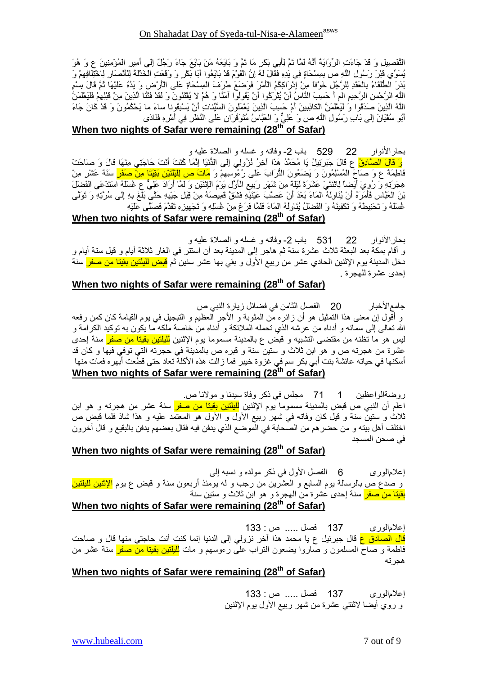إعلام الورى 137 فصل ..... ص: 133 و روي أيضا لاثنتي عشرة من شهر ربيع الأول يوم الإثنين

## **When two nights of Safar were remaining (28th of Safar)**

إما#رى 137 +EQ ..... ص : 133 قا<mark>ل الصادق ع</mark> قال جبرئيل ع يا محمد هذا أخر نزولي إلى الدنيا إنما كنت أنت حاجتي منها قال و صاحت فاطمة و صاح المسلمون و صاروا بضعون التراب على رءوسهم و مات <mark>لليلتين بقينا من صفر</mark> سنة عشر من هجر ته

**When two nights of Safar were remaining (28th of Safar)**

إعلامالوري 6 الفصل الأول في ذكر مولده و نسبه إلى و صدع ص بالرسالة بوم السابع و العشرين من رجب و له بومئذ أربعون سنة و قبض ع بوم <mark>الإثنين لليلنين</mark> <mark>بقيتا من صفر</mark> سنة إحدى عشرة من الـهجرة و هو ابن ثلاث و ستين سنة

## **When two nights of Safar were remaining (28th of Safar)**

روضةالواعظين 1 71 مجلس في ذكر وفاة سيدنا و مولانا ص. اعلم أن النبـي ص قبض بالمدينـة مسمومـا بوم الإثنـين <mark>لليلتين بقيتـا من صفر</mark> سنـة عشر من هجرتـه و هو ابن ثلاث و ستين سنة و قيل كان وفاته في شهر ربيع الأول و الأول هو المعتمد عليه و هذا شاذ فلما قبض ص اختلف أهل بيته و من حضر هم من الصحابة في الموضع الذي يدفن فيه فقال بعضهم يدفن بالبقيع و قال أخرون في صحن المسجد

# **When two nights of Safar were remaining (28th of Safar)**

جامع|لأخبار م|لأخبار 20 الفصل الثامن في فضائل زيارة النبي ص و أقول إن معنى هذا التمثيل هو أن زائره من المثوبة و الأجر العظيم و التبجيل في يوم القيامة كان كمن رفعه الله تعالى إلى سمائه و أدناه من عرشه الذي تحمله الملائكة و أدناه من خاصة ملكه ما يكون به توكيد الكرامة و ليس هو ما تظنه من مقتضـي التشبيه و قبض ع بالمدينة مسموما بوم الإثنين <mark>لليلتين بقيتا من صفر</mark> سنة إحدى عشرة من هجرته ص و هو ابن ثلاث و ستين سنة و قبره ص بالمدينة في حجرته التي توفي فيها و كان قد 95 ت+ i39-أ MZ %=\$ د( )آvا iHه Mزا + 3U وةS + J 3N- -أ M5- )e! (\$ + 95Nأ

## **When two nights of Safar were remaining (28th of Safar)**

بحار الأنوار 22 531 باب 2- وفاته و غسله و الصلاة عليه و و أقام بمكة بعد البعثة ثلاث عشرة سنة ثم هاجر إلى المدينة بعد أن استتر في الغار ثلاثة أيام و قيل ستة أيام و دخل المدينة يوم الإثنين الحادي عشر من ربيع الأول و بقي بها عشر سنين ثم <mark>قبض لليلتين بقينا من صفر</mark> سنة إحدى عشرة للهجرة .

## **When two nights of Safar were remaining (28th of Safar)**

بحار الأنوار 22 29 باب 2- وفاته و غسله و الصلاة عليه و وَ قَالَ الصَّادِقُ ع قَالَ جَبْرَئِيلُ يَا مُحَمَّدُ هَذَا أَخِرُ نُزِولِي إِلَى النُّنْيَا إِنَّمَا كُنْتَ أَنْتَ حَاجَتِي مِنْهَا قَالَ وَ صَاحَتْ فَاطِمَةٌ ع وَ صَاحَ الْمُسْلِمُونَ وَ يَضَعُونَ الْثَرَابَ عَلَى رُءُوسِهِمْ وَ <mark>مَاتَ ص لِلْيْلَتَيْنِ بَقِيَّنَا مِنْ صَفَرٍ</mark> سَنَةً عَشْرٍ مِنْ هِجْرَتِهِ وَ رُوِيَ أَيْضاً لِلثَّنَثِيُّ عَشَرَةَ لَيْلَةً مِنْ شَهْرٍ رَبِيعِ الْأَوَّلِ بَوْمَ الْإِنْنَيْنِ وَ لَمَّا أَرَادَ عَلِيٍّ ع غُسْلَهُ اسْتَدْعَى الْفَضْلَ بْنَ الْعَبَّاسِ فَأَمَرَهُ أَنْ يُنَاوِلُهُ الْمَاءَ بَعْدَ أَنْ عَصَّبَ عَيْنَيْهِ فَشَقَّ قَمِيصَهُ مِنْ قِبَلِ جَيْبِهِ حَتَّى بَلْغَ بِهِ إِلَى سُرَّتِهِ وَ تَوَلَّى غُسْلُهُ وَ تَحْنِيطُهُ وَ تَكْفِينَهُ وَ الْفَضْلُ يُنَاوِلُهُ الْمَاءَ فَلَمَّا فَرَعَ مِنْ غُسْلِهِ وَ تَجْهِيزِهِ تَقَدَّمَ فَصَلَّى عَلَيْهِ

## **When two nights of Safar were remaining (28th of Safar)**

الْتَّقْصِيلِ وَ قَدْ جَاءَتِ الرِّوَايَةُ أَنَّهُ لَمَّا تَمَّ لِأَبِي بَكْرٍ مَا تَمَّ وَ بَايَعَهُ مَنْ بَايَعَ جَاءَ رَجُلٌ إِلَى أمير الْمُؤْمِنِينَ ع وَ هُوَ يُسَوِّي قَبْرَ رَسُولِ اللَّهِ ص بِمِسْحَاةٍ فِي يَدِهِ فَقَالَ لَهُ إِنَّ الْقَوْمَ قَدْ بَايَعُوا أَبَا بَكْرٍ وَ وَقَعَتِ الْخَدْلَةُ لِلْأَلْصَارِ لِاخْتِلَافِهِمْ وَ بَذَرَ الطَّلَقَاءُ بِالْعَقْدِ لِلرَّجُلِ خَوْفًا مِنْ إِدْرَاكِكُمُ الْأَمْرَ فَوَضَعَ طَرَفَ الْمِسْحَاةِ عَلَى الْأَرْضِ وَ يَدُهُ عَلَيْهَا ثُمَّ قَالَ بِسْمِ الْلَهِ الرَّحْمنِ الرَّحِيمِ الم أَ حَسِبَ النَّاسُ أَنْ يُتْرَكُوا أَنْ يَقُولُوا آمَنًا وَ هُمْ لا يُفْتَنُونَ وَ لَقَدْ فَتَنَّا الَّذِينَ مِنْ قَبْلِهِمْ فَلَيَعْلَمَنَّ اللَّهُ الَّذِينَ صَدَقُوا وَ لَيَعْلَمَنَّ الْكَاذِبِينَ أَمْ حَسِبَ الَّذِينَ يَعْمَلُونَ السَّيِّئَاتِ أَنْ يَسْبِقُونا ساءَ ما يَحْكُمُونَ وَ قَدْ كَانَ جَاءَ أَبُو سُفْيَانَ إِلَى بَابِ رَسُولِ اللَّهِ ص وَ عَلِيٌّ وَ الْعَبَّاسُ مُتَوَفَّرَانِ عَلَى النَّظْرِ فِي أَمْرِهِ فَنَادَى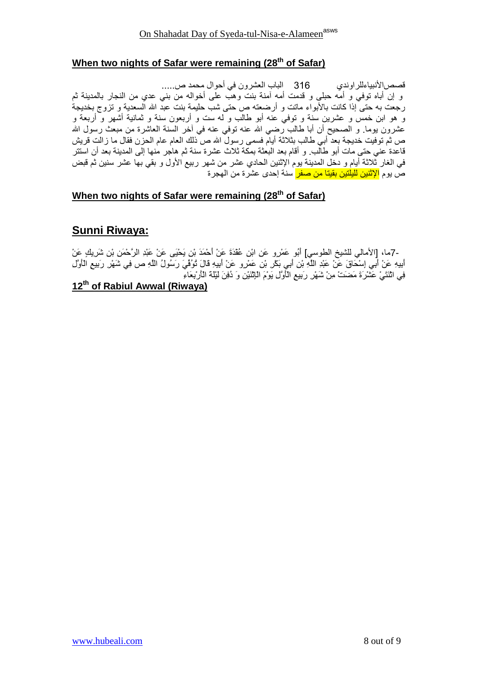# When two nights of Safar were remaining (28<sup>th</sup> of Safar)

و إن أباه توفي و أمَّه حبلي و قدمت أمه آمنة بنت وهبَّ على أخواله من بني عدى من النجار بالمدينة ثم رجعت به حتى إذا كانت بالأبواء ماتت و أرضعته ص حتى شب حليمة بنت عبد الله السعدية و تزوج بخديجة و هو ابن خمس و عشرين سنة و توفي عنه أبو طالب و له ست و أربعون سنة و ثمانية أشهر و أربعة و عشرون يوما. و الصحيح أن أبا طالب رضي الله عنه نوفي عنه في أخر السنة العاشرة من مبعث رسول الله ص ثم توفيت خديجة بعد أبي طالب بثلاثة أيام فسمى رسولٌ الله ص ذلك العام عام الحزن فقال ما زالت قريش قاعدة عني حتى مات أبو طالب. و أقام بعد البعثة بمكة ثلاث عشرة سنة ثم هاجر منها إلى المدينة بعد أن استتر في الغار ثَلاثة أيام و دخل المدينة يوم الإثنين الحادي عشر من شهر ربيع الأول و بقى بها عشر سنين ثم قبض ص بوم <mark>الاثنين للبلتين بقيتا من صفر </mark> سنة احدى عشر ة من الهجر ة

# When two nights of Safar were remaining (28<sup>th</sup> of Safar)

# **Sunni Riwaya:**

-7ما، [الأمالي للشيخ الطوسي] أَبُو عَمْرِو عَنِ ابْنِ عُقْدَةَ عَنْ أَحْمَدَ بْنِ يَحْيَى عَنْ عَبْدِ الرَّحْمَنِ بْنِ شَرِيكٍ عَنْ أبيهِ عَنْ أَبِي إِسْكَاقَ عَنْ عَبْدِ اللَّهِ بْنِ أَبِي بَكْرٍ بْنِ عَمْرٍو عَنْ أَبِيهِ قَالَ تُوُفِّيَ رَسُولُ اللَّهِ ص فِي شَهْرِ رَبِيعِ الْأَوَّلِ<br>فِي اثْنَتَيْ عَشْرَةَ مَضنَ مِنْ شَهْرِ رَبِيعِ الْأَوَّلِ يَوْمَ

## 12th of Rabiul Awwal (Riwaya)